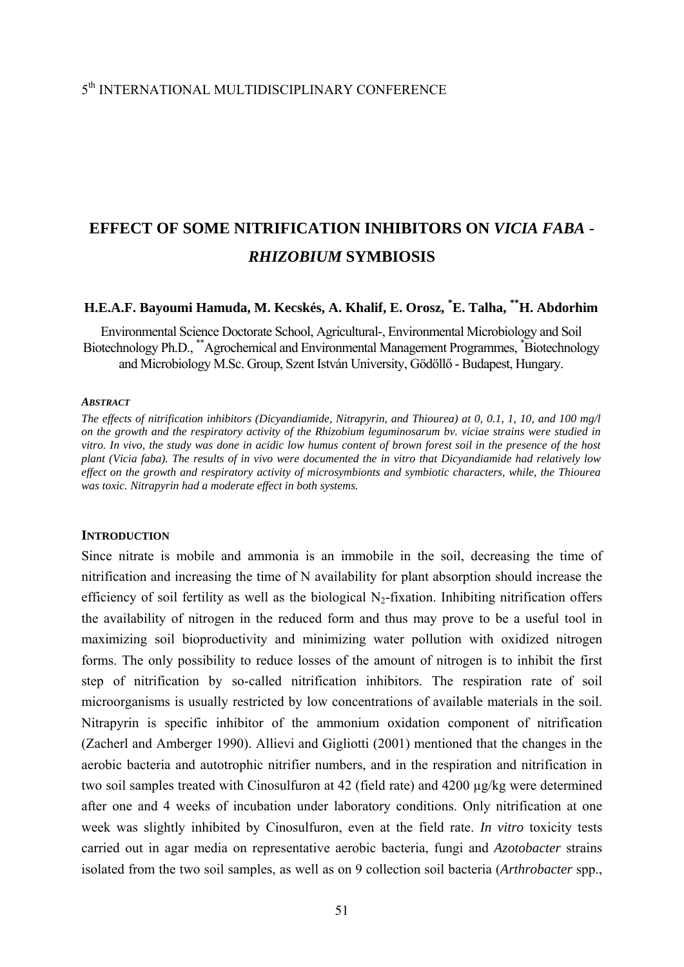## 5th INTERNATIONAL MULTIDISCIPLINARY CONFERENCE

# **EFFECT OF SOME NITRIFICATION INHIBITORS ON** *VICIA FABA* **-**  *RHIZOBIUM* **SYMBIOSIS**

# **H.E.A.F. Bayoumi Hamuda, M. Kecskés, A. Khalif, E. Orosz, \* E. Talha, \*\*H. Abdorhim**

Environmental Science Doctorate School, Agricultural-, Environmental Microbiology and Soil Biotechnology Ph.D., \*\*Agrochemical and Environmental Management Programmes, \* Biotechnology and Microbiology M.Sc. Group, Szent István University, Gödöllő - Budapest, Hungary.

#### *ABSTRACT*

*The effects of nitrification inhibitors (Dicyandiamide, Nitrapyrin, and Thiourea) at 0, 0.1, 1, 10, and 100 mg/l on the growth and the respiratory activity of the Rhizobium leguminosarum bv. viciae strains were studied in vitro. In vivo, the study was done in acidic low humus content of brown forest soil in the presence of the host plant (Vicia faba). The results of in vivo were documented the in vitro that Dicyandiamide had relatively low effect on the growth and respiratory activity of microsymbionts and symbiotic characters, while, the Thiourea was toxic. Nitrapyrin had a moderate effect in both systems.* 

#### **INTRODUCTION**

Since nitrate is mobile and ammonia is an immobile in the soil, decreasing the time of nitrification and increasing the time of N availability for plant absorption should increase the efficiency of soil fertility as well as the biological  $N_2$ -fixation. Inhibiting nitrification offers the availability of nitrogen in the reduced form and thus may prove to be a useful tool in maximizing soil bioproductivity and minimizing water pollution with oxidized nitrogen forms. The only possibility to reduce losses of the amount of nitrogen is to inhibit the first step of nitrification by so-called nitrification inhibitors. The respiration rate of soil microorganisms is usually restricted by low concentrations of available materials in the soil. Nitrapyrin is specific inhibitor of the ammonium oxidation component of nitrification (Zacherl and Amberger 1990). Allievi and Gigliotti (2001) mentioned that the changes in the aerobic bacteria and autotrophic nitrifier numbers, and in the respiration and nitrification in two soil samples treated with Cinosulfuron at 42 (field rate) and 4200 µg/kg were determined after one and 4 weeks of incubation under laboratory conditions. Only nitrification at one week was slightly inhibited by Cinosulfuron, even at the field rate. *In vitro* toxicity tests carried out in agar media on representative aerobic bacteria, fungi and *Azotobacter* strains isolated from the two soil samples, as well as on 9 collection soil bacteria (*Arthrobacter* spp.,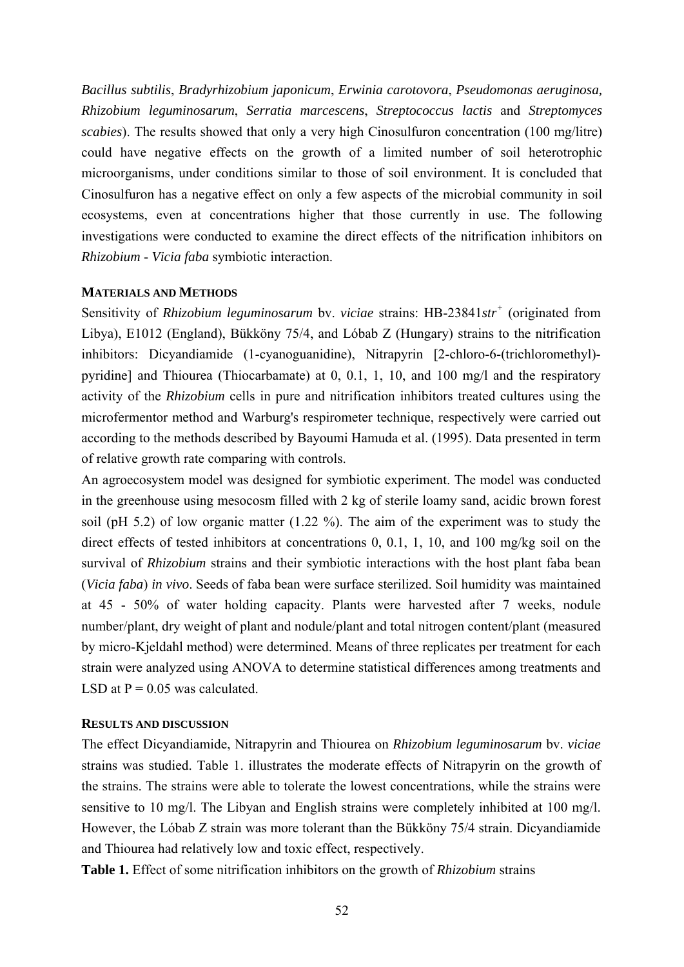*Bacillus subtilis*, *Bradyrhizobium japonicum*, *Erwinia carotovora*, *Pseudomonas aeruginosa, Rhizobium leguminosarum*, *Serratia marcescens*, *Streptococcus lactis* and *Streptomyces scabies*). The results showed that only a very high Cinosulfuron concentration (100 mg/litre) could have negative effects on the growth of a limited number of soil heterotrophic microorganisms, under conditions similar to those of soil environment. It is concluded that Cinosulfuron has a negative effect on only a few aspects of the microbial community in soil ecosystems, even at concentrations higher that those currently in use. The following investigations were conducted to examine the direct effects of the nitrification inhibitors on *Rhizobium* - *Vicia faba* symbiotic interaction.

#### **MATERIALS AND METHODS**

Sensitivity of *Rhizobium leguminosarum* bv. *viciae* strains: HB-23841*str<sup>+</sup>* (originated from Libya), E1012 (England), Bükköny 75/4, and Lóbab Z (Hungary) strains to the nitrification inhibitors: Dicyandiamide (1-cyanoguanidine), Nitrapyrin [2-chloro-6-(trichloromethyl) pyridine] and Thiourea (Thiocarbamate) at 0, 0.1, 1, 10, and 100 mg/l and the respiratory activity of the *Rhizobium* cells in pure and nitrification inhibitors treated cultures using the microfermentor method and Warburg's respirometer technique, respectively were carried out according to the methods described by Bayoumi Hamuda et al. (1995). Data presented in term of relative growth rate comparing with controls.

An agroecosystem model was designed for symbiotic experiment. The model was conducted in the greenhouse using mesocosm filled with 2 kg of sterile loamy sand, acidic brown forest soil (pH 5.2) of low organic matter (1.22 %). The aim of the experiment was to study the direct effects of tested inhibitors at concentrations 0, 0.1, 1, 10, and 100 mg/kg soil on the survival of *Rhizobium* strains and their symbiotic interactions with the host plant faba bean (*Vicia faba*) *in vivo*. Seeds of faba bean were surface sterilized. Soil humidity was maintained at 45 - 50% of water holding capacity. Plants were harvested after 7 weeks, nodule number/plant, dry weight of plant and nodule/plant and total nitrogen content/plant (measured by micro-Kjeldahl method) were determined. Means of three replicates per treatment for each strain were analyzed using ANOVA to determine statistical differences among treatments and LSD at  $P = 0.05$  was calculated.

## **RESULTS AND DISCUSSION**

The effect Dicyandiamide, Nitrapyrin and Thiourea on *Rhizobium leguminosarum* bv. *viciae* strains was studied. Table 1. illustrates the moderate effects of Nitrapyrin on the growth of the strains. The strains were able to tolerate the lowest concentrations, while the strains were sensitive to 10 mg/l. The Libyan and English strains were completely inhibited at 100 mg/l. However, the Lóbab Z strain was more tolerant than the Bükköny 75/4 strain. Dicyandiamide and Thiourea had relatively low and toxic effect, respectively.

**Table 1.** Effect of some nitrification inhibitors on the growth of *Rhizobium* strains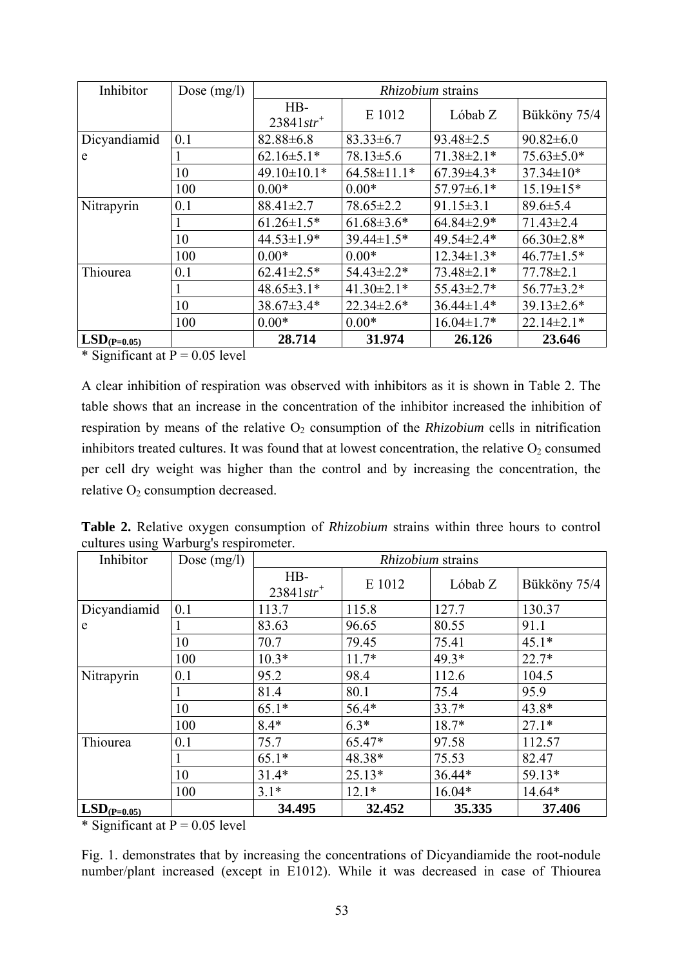| Inhibitor        | Dose $(mg/l)$ | <i>Rhizobium</i> strains          |                   |                  |                   |  |
|------------------|---------------|-----------------------------------|-------------------|------------------|-------------------|--|
|                  |               | $HB-$<br>$23841$ str <sup>+</sup> | E 1012            | Lóbab Z          | Bükköny 75/4      |  |
| Dicyandiamid     | 0.1           | $82.88 \pm 6.8$                   | $83.33 \pm 6.7$   | $93.48 \pm 2.5$  | $90.82 \pm 6.0$   |  |
| e                |               | $62.16 \pm 5.1*$                  | $78.13 \pm 5.6$   | $71.38 \pm 2.1*$ | $75.63 \pm 5.0*$  |  |
|                  | 10            | $49.10 \pm 10.1*$                 | $64.58 \pm 11.1*$ | $67.39 \pm 4.3*$ | $37.34 \pm 10^*$  |  |
|                  | 100           | $0.00*$                           | $0.00*$           | $57.97 \pm 6.1*$ | $15.19 \pm 15*$   |  |
| Nitrapyrin       | 0.1           | 88.41±2.7                         | $78.65 \pm 2.2$   | $91.15 \pm 3.1$  | $89.6 \pm 5.4$    |  |
|                  |               | $61.26 \pm 1.5*$                  | $61.68 \pm 3.6*$  | $64.84 \pm 2.9*$ | $71.43 \pm 2.4$   |  |
|                  | 10            | $44.53 \pm 1.9*$                  | $39.44 \pm 1.5*$  | 49.54±2.4*       | $66.30 \pm 2.8^*$ |  |
|                  | 100           | $0.00*$                           | $0.00*$           | $12.34 \pm 1.3*$ | $46.77 \pm 1.5*$  |  |
| Thiourea         | 0.1           | $62.41 \pm 2.5$ *                 | $54.43 \pm 2.2*$  | $73.48 \pm 2.1*$ | $77.78 \pm 2.1$   |  |
|                  |               | $48.65 \pm 3.1*$                  | $41.30 \pm 2.1*$  | $55.43 \pm 2.7*$ | $56.77 \pm 3.2*$  |  |
|                  | 10            | 38.67±3.4*                        | $22.34 \pm 2.6*$  | $36.44 \pm 1.4*$ | $39.13 \pm 2.6*$  |  |
|                  | 100           | $0.00*$                           | $0.00*$           | $16.04 \pm 1.7*$ | $22.14 \pm 2.1*$  |  |
| $LSD_{(P=0.05)}$ |               | 28.714                            | 31.974            | 26.126           | 23.646            |  |

\* Significant at  $P = 0.05$  level

A clear inhibition of respiration was observed with inhibitors as it is shown in Table 2. The table shows that an increase in the concentration of the inhibitor increased the inhibition of respiration by means of the relative  $O_2$  consumption of the *Rhizobium* cells in nitrification inhibitors treated cultures. It was found that at lowest concentration, the relative  $O_2$  consumed per cell dry weight was higher than the control and by increasing the concentration, the relative  $O_2$  consumption decreased.

Table 2. Relative oxygen consumption of Rhizobium strains within three hours to control cultures using Warburg's respirometer.

| Inhibitor        | Dose $(mg/l)$ | Rhizobium strains                 |          |          |              |  |
|------------------|---------------|-----------------------------------|----------|----------|--------------|--|
|                  |               | $HB-$<br>$23841$ str <sup>+</sup> | E 1012   | Lóbab Z  | Bükköny 75/4 |  |
| Dicyandiamid     | 0.1           | 113.7                             | 115.8    | 127.7    | 130.37       |  |
| e                |               | 83.63                             | 96.65    | 80.55    | 91.1         |  |
|                  | 10            | 70.7                              | 79.45    | 75.41    | $45.1*$      |  |
|                  | 100           | $10.3*$                           | $11.7*$  | $49.3*$  | $22.7*$      |  |
| Nitrapyrin       | 0.1           | 95.2                              | 98.4     | 112.6    | 104.5        |  |
|                  |               | 81.4                              | 80.1     | 75.4     | 95.9         |  |
|                  | 10            | $65.1*$                           | $56.4*$  | $33.7*$  | 43.8*        |  |
|                  | 100           | $8.4*$                            | $6.3*$   | $18.7*$  | $27.1*$      |  |
| Thiourea         | 0.1           | 75.7                              | 65.47*   | 97.58    | 112.57       |  |
|                  |               | $65.1*$                           | 48.38*   | 75.53    | 82.47        |  |
|                  | 10            | $31.4*$                           | $25.13*$ | 36.44*   | 59.13*       |  |
|                  | 100           | $3.1*$                            | $12.1*$  | $16.04*$ | 14.64*       |  |
| $LSD_{(P=0.05)}$ |               | 34.495                            | 32.452   | 35.335   | 37.406       |  |

\* Significant at  $P = 0.05$  level

Fig. 1. demonstrates that by increasing the concentrations of Dicyandiamide the root-nodule number/plant increased (except in E1012). While it was decreased in case of Thiourea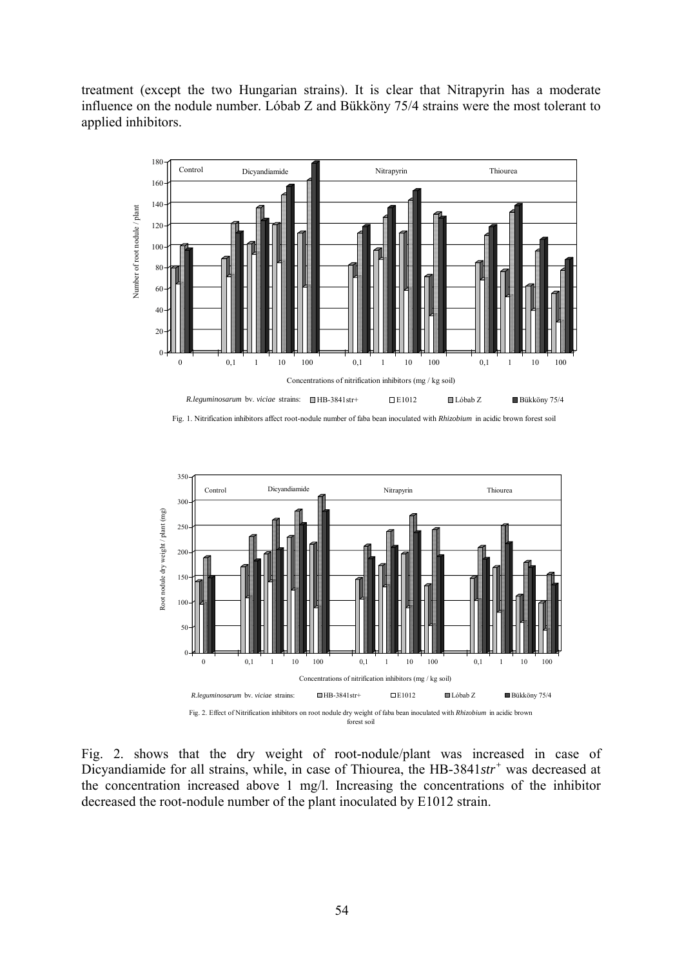treatment (except the two Hungarian strains). It is clear that Nitrapyrin has a moderate influence on the nodule number. Lóbab Z and Bükköny 75/4 strains were the most tolerant to applied inhibitors.



Fig. 1. Nitrification inhibitors affect root-nodule number of faba bean inoculated with *Rhizobium* in acidic brown forest soil



Fig. 2. shows that the dry weight of root-nodule/plant was increased in case of Dicyandiamide for all strains, while, in case of Thiourea, the HB-3841*str<sup>+</sup>* was decreased at the concentration increased above 1 mg/l. Increasing the concentrations of the inhibitor decreased the root-nodule number of the plant inoculated by E1012 strain.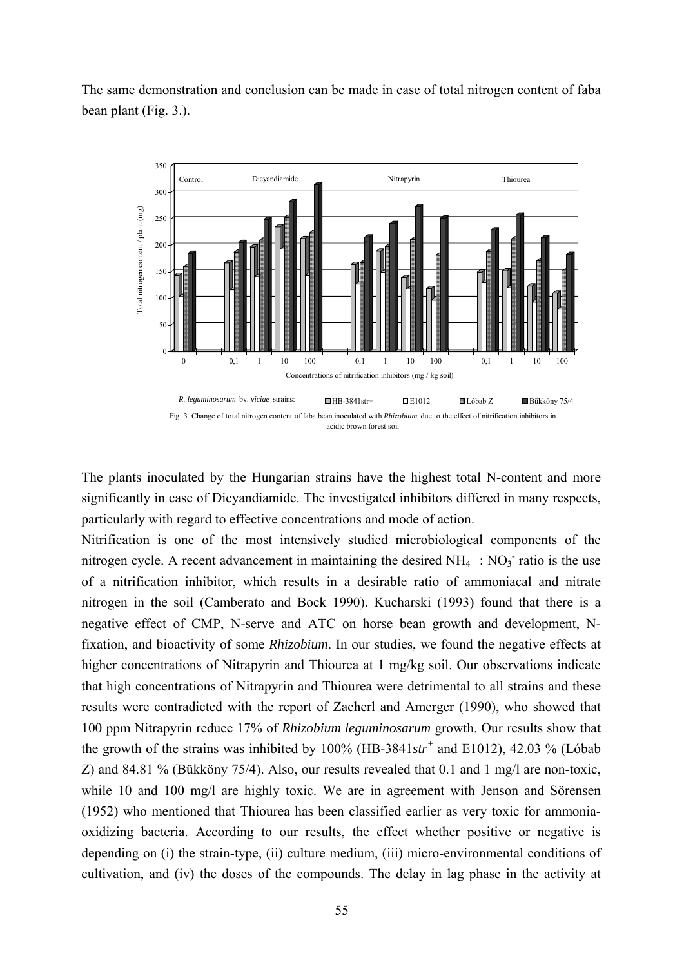The same demonstration and conclusion can be made in case of total nitrogen content of faba bean plant (Fig. 3.).



The plants inoculated by the Hungarian strains have the highest total N-content and more significantly in case of Dicyandiamide. The investigated inhibitors differed in many respects, particularly with regard to effective concentrations and mode of action.

Nitrification is one of the most intensively studied microbiological components of the nitrogen cycle. A recent advancement in maintaining the desired  $NH_4^+$ :  $NO_3^-$  ratio is the use of a nitrification inhibitor, which results in a desirable ratio of ammoniacal and nitrate nitrogen in the soil (Camberato and Bock 1990). Kucharski (1993) found that there is a negative effect of CMP, N-serve and ATC on horse bean growth and development, Nfixation, and bioactivity of some *Rhizobium*. In our studies, we found the negative effects at higher concentrations of Nitrapyrin and Thiourea at 1 mg/kg soil. Our observations indicate that high concentrations of Nitrapyrin and Thiourea were detrimental to all strains and these results were contradicted with the report of Zacherl and Amerger (1990), who showed that 100 ppm Nitrapyrin reduce 17% of *Rhizobium leguminosarum* growth. Our results show that the growth of the strains was inhibited by 100% (HB-3841*str<sup>+</sup>* and E1012), 42.03 % (Lóbab Z) and 84.81 % (Bükköny 75/4). Also, our results revealed that 0.1 and 1 mg/l are non-toxic, while 10 and 100 mg/l are highly toxic. We are in agreement with Jenson and Sörensen (1952) who mentioned that Thiourea has been classified earlier as very toxic for ammoniaoxidizing bacteria. According to our results, the effect whether positive or negative is depending on (i) the strain-type, (ii) culture medium, (iii) micro-environmental conditions of cultivation, and (iv) the doses of the compounds. The delay in lag phase in the activity at